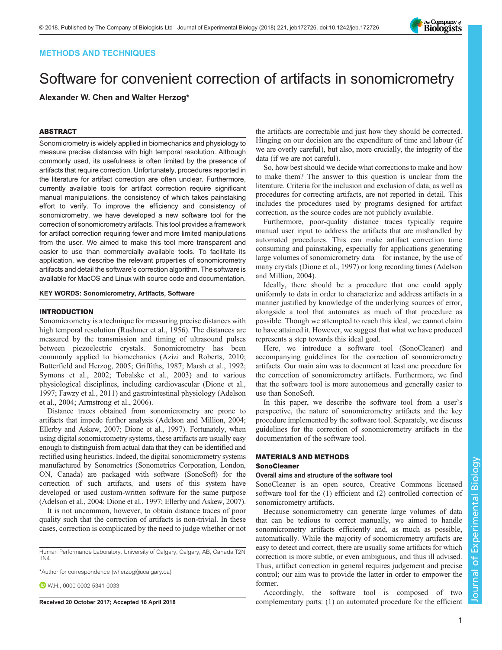

# METHODS AND TECHNIQUES

# Software for convenient correction of artifacts in sonomicrometry

Alexander W. Chen and Walter Herzog\*

# ABSTRACT

Sonomicrometry is widely applied in biomechanics and physiology to measure precise distances with high temporal resolution. Although commonly used, its usefulness is often limited by the presence of artifacts that require correction. Unfortunately, procedures reported in the literature for artifact correction are often unclear. Furthermore, currently available tools for artifact correction require significant manual manipulations, the consistency of which takes painstaking effort to verify. To improve the efficiency and consistency of sonomicrometry, we have developed a new software tool for the correction of sonomicrometry artifacts. This tool provides a framework for artifact correction requiring fewer and more limited manipulations from the user. We aimed to make this tool more transparent and easier to use than commercially available tools. To facilitate its application, we describe the relevant properties of sonomicrometry artifacts and detail the software's correction algorithm. The software is available for MacOS and Linux with source code and documentation.

## KEY WORDS: Sonomicrometry, Artifacts, Software

# INTRODUCTION

Sonomicrometry is a technique for measuring precise distances with high temporal resolution ([Rushmer et al., 1956](#page-6-0)). The distances are measured by the transmission and timing of ultrasound pulses between piezoelectric crystals. Sonomicrometry has been commonly applied to biomechanics [\(Azizi and Roberts, 2010](#page-5-0); [Butterfield and Herzog, 2005](#page-5-0); [Griffiths, 1987; Marsh et al., 1992](#page-6-0); [Symons et al., 2002](#page-6-0); [Tobalske et al., 2003\)](#page-6-0) and to various physiological disciplines, including cardiovascular ([Dione et al.,](#page-5-0) [1997](#page-5-0); [Fawzy et al., 2011\)](#page-6-0) and gastrointestinal physiology [\(Adelson](#page-5-0) [et al., 2004; Armstrong et al., 2006\)](#page-5-0).

Distance traces obtained from sonomicrometry are prone to artifacts that impede further analysis [\(Adelson and Million, 2004](#page-5-0); [Ellerby and Askew, 2007;](#page-6-0) [Dione et al., 1997\)](#page-5-0). Fortunately, when using digital sonomicrometry systems, these artifacts are usually easy enough to distinguish from actual data that they can be identified and rectified using heuristics. Indeed, the digital sonomicrometry systems manufactured by Sonometrics (Sonometrics Corporation, London, ON, Canada) are packaged with software (SonoSoft) for the correction of such artifacts, and users of this system have developed or used custom-written software for the same purpose [\(Adelson et al., 2004](#page-5-0); [Dione et al., 1997](#page-5-0); [Ellerby and Askew, 2007\)](#page-6-0).

It is not uncommon, however, to obtain distance traces of poor quality such that the correction of artifacts is non-trivial. In these cases, correction is complicated by the need to judge whether or not

Human Performance Laboratory, University of Calgary, Calgary, AB, Canada T2N 1N4.

\*Author for correspondence [\(wherzog@ucalgary.ca](mailto:wherzog@ucalgary.ca))

W.H., [0000-0002-5341-0033](http://orcid.org/0000-0002-5341-0033)

the artifacts are correctable and just how they should be corrected. Hinging on our decision are the expenditure of time and labour (if we are overly careful), but also, more crucially, the integrity of the data (if we are not careful).

So, how best should we decide what corrections to make and how to make them? The answer to this question is unclear from the literature. Criteria for the inclusion and exclusion of data, as well as procedures for correcting artifacts, are not reported in detail. This includes the procedures used by programs designed for artifact correction, as the source codes are not publicly available.

Furthermore, poor-quality distance traces typically require manual user input to address the artifacts that are mishandled by automated procedures. This can make artifact correction time consuming and painstaking, especially for applications generating large volumes of sonomicrometry data – for instance, by the use of many crystals ([Dione et al., 1997](#page-5-0)) or long recording times [\(Adelson](#page-5-0) [and Million, 2004\)](#page-5-0).

Ideally, there should be a procedure that one could apply uniformly to data in order to characterize and address artifacts in a manner justified by knowledge of the underlying sources of error, alongside a tool that automates as much of that procedure as possible. Though we attempted to reach this ideal, we cannot claim to have attained it. However, we suggest that what we have produced represents a step towards this ideal goal.

Here, we introduce a software tool (SonoCleaner) and accompanying guidelines for the correction of sonomicrometry artifacts. Our main aim was to document at least one procedure for the correction of sonomicrometry artifacts. Furthermore, we find that the software tool is more autonomous and generally easier to use than SonoSoft.

In this paper, we describe the software tool from a user's perspective, the nature of sonomicrometry artifacts and the key procedure implemented by the software tool. Separately, we discuss guidelines for the correction of sonomicrometry artifacts in the documentation of the software tool.

# MATERIALS AND METHODS

# **SonoCleaner**

# Overall aims and structure of the software tool

SonoCleaner is an open source, Creative Commons licensed software tool for the (1) efficient and (2) controlled correction of sonomicrometry artifacts.

Because sonomicrometry can generate large volumes of data that can be tedious to correct manually, we aimed to handle sonomicrometry artifacts efficiently and, as much as possible, automatically. While the majority of sonomicrometry artifacts are easy to detect and correct, there are usually some artifacts for which correction is more subtle, or even ambiguous, and thus ill advised. Thus, artifact correction in general requires judgement and precise control; our aim was to provide the latter in order to empower the former.

Accordingly, the software tool is composed of two Received 20 October 2017; Accepted 16 April 2018 complementary parts: (1) an automated procedure for the efficient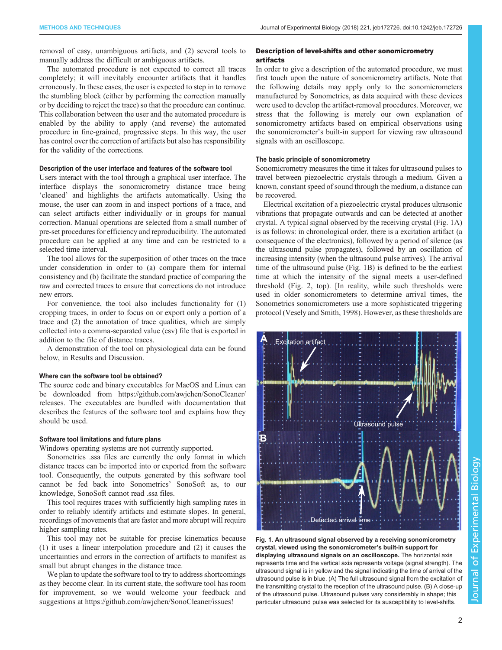<span id="page-1-0"></span>removal of easy, unambiguous artifacts, and (2) several tools to manually address the difficult or ambiguous artifacts.

The automated procedure is not expected to correct all traces completely; it will inevitably encounter artifacts that it handles erroneously. In these cases, the user is expected to step in to remove the stumbling block (either by performing the correction manually or by deciding to reject the trace) so that the procedure can continue. This collaboration between the user and the automated procedure is enabled by the ability to apply (and reverse) the automated procedure in fine-grained, progressive steps. In this way, the user has control over the correction of artifacts but also has responsibility for the validity of the corrections.

#### Description of the user interface and features of the software tool

Users interact with the tool through a graphical user interface. The interface displays the sonomicrometry distance trace being 'cleaned' and highlights the artifacts automatically. Using the mouse, the user can zoom in and inspect portions of a trace, and can select artifacts either individually or in groups for manual correction. Manual operations are selected from a small number of pre-set procedures for efficiency and reproducibility. The automated procedure can be applied at any time and can be restricted to a selected time interval.

The tool allows for the superposition of other traces on the trace under consideration in order to (a) compare them for internal consistency and (b) facilitate the standard practice of comparing the raw and corrected traces to ensure that corrections do not introduce new errors.

For convenience, the tool also includes functionality for (1) cropping traces, in order to focus on or export only a portion of a trace and (2) the annotation of trace qualities, which are simply collected into a comma-separated value (csv) file that is exported in addition to the file of distance traces.

A demonstration of the tool on physiological data can be found below, in Results and Discussion.

#### Where can the software tool be obtained?

The source code and binary executables for MacOS and Linux can be downloaded from [https://github.com/awjchen/SonoCleaner/](https://github.com/awjchen/SonoCleaner/releases) [releases](https://github.com/awjchen/SonoCleaner/releases). The executables are bundled with documentation that describes the features of the software tool and explains how they should be used.

#### Software tool limitations and future plans

Windows operating systems are not currently supported.

Sonometrics .ssa files are currently the only format in which distance traces can be imported into or exported from the software tool. Consequently, the outputs generated by this software tool cannot be fed back into Sonometrics' SonoSoft as, to our knowledge, SonoSoft cannot read .ssa files.

This tool requires traces with sufficiently high sampling rates in order to reliably identify artifacts and estimate slopes. In general, recordings of movements that are faster and more abrupt will require higher sampling rates.

This tool may not be suitable for precise kinematics because (1) it uses a linear interpolation procedure and (2) it causes the uncertainties and errors in the correction of artifacts to manifest as small but abrupt changes in the distance trace.

We plan to update the software tool to try to address shortcomings as they become clear. In its current state, the software tool has room for improvement, so we would welcome your feedback and suggestions at [https://github.com/awjchen/SonoCleaner/issues!](https://github.com/awjchen/SonoCleaner/issues)

## Description of level-shifts and other sonomicrometry artifacts

In order to give a description of the automated procedure, we must first touch upon the nature of sonomicrometry artifacts. Note that the following details may apply only to the sonomicrometers manufactured by Sonometrics, as data acquired with these devices were used to develop the artifact-removal procedures. Moreover, we stress that the following is merely our own explanation of sonomicrometry artifacts based on empirical observations using the sonomicrometer's built-in support for viewing raw ultrasound signals with an oscilloscope.

#### The basic principle of sonomicrometry

Sonomicrometry measures the time it takes for ultrasound pulses to travel between piezoelectric crystals through a medium. Given a known, constant speed of sound through the medium, a distance can be recovered.

Electrical excitation of a piezoelectric crystal produces ultrasonic vibrations that propagate outwards and can be detected at another crystal. A typical signal observed by the receiving crystal (Fig. 1A) is as follows: in chronological order, there is a excitation artifact (a consequence of the electronics), followed by a period of silence (as the ultrasound pulse propagates), followed by an oscillation of increasing intensity (when the ultrasound pulse arrives). The arrival time of the ultrasound pulse (Fig. 1B) is defined to be the earliest time at which the intensity of the signal meets a user-defined threshold ([Fig. 2](#page-2-0), top). [In reality, while such thresholds were used in older sonomicrometers to determine arrival times, the Sonometrics sonomicrometers use a more sophisticated triggering protocol [\(Vesely and Smith, 1998\)](#page-6-0). However, as these thresholds are



Fig. 1. An ultrasound signal observed by a receiving sonomicrometry crystal, viewed using the sonomicrometer's built-in support for displaying ultrasound signals on an oscilloscope. The horizontal axis represents time and the vertical axis represents voltage (signal strength). The ultrasound signal is in yellow and the signal indicating the time of arrival of the ultrasound pulse is in blue. (A) The full ultrasound signal from the excitation of the transmitting crystal to the reception of the ultrasound pulse. (B) A close-up of the ultrasound pulse. Ultrasound pulses vary considerably in shape; this particular ultrasound pulse was selected for its susceptibility to level-shifts.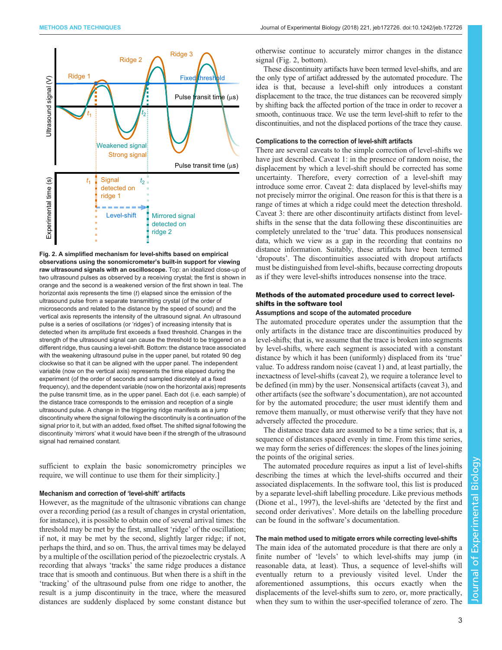<span id="page-2-0"></span>

Fig. 2. A simplified mechanism for level-shifts based on empirical observations using the sonomicrometer's built-in support for viewing raw ultrasound signals with an oscilloscope. Top: an idealized close-up of two ultrasound pulses as observed by a receiving crystal; the first is shown in orange and the second is a weakened version of the first shown in teal. The horizontal axis represents the time  $(t)$  elapsed since the emission of the ultrasound pulse from a separate transmitting crystal (of the order of microseconds and related to the distance by the speed of sound) and the vertical axis represents the intensity of the ultrasound signal. An ultrasound pulse is a series of oscillations (or 'ridges') of increasing intensity that is detected when its amplitude first exceeds a fixed threshold. Changes in the strength of the ultrasound signal can cause the threshold to be triggered on a different ridge, thus causing a level-shift. Bottom: the distance trace associated with the weakening ultrasound pulse in the upper panel, but rotated 90 deg clockwise so that it can be aligned with the upper panel. The independent variable (now on the vertical axis) represents the time elapsed during the experiment (of the order of seconds and sampled discretely at a fixed frequency), and the dependent variable (now on the horizontal axis) represents the pulse transmit time, as in the upper panel. Each dot (i.e. each sample) of the distance trace corresponds to the emission and reception of a single ultrasound pulse. A change in the triggering ridge manifests as a jump discontinuity where the signal following the discontinuity is a continuation of the signal prior to it, but with an added, fixed offset. The shifted signal following the discontinuity 'mirrors' what it would have been if the strength of the ultrasound signal had remained constant.

sufficient to explain the basic sonomicrometry principles we require, we will continue to use them for their simplicity.]

## Mechanism and correction of 'level-shift' artifacts

However, as the magnitude of the ultrasonic vibrations can change over a recording period (as a result of changes in crystal orientation, for instance), it is possible to obtain one of several arrival times: the threshold may be met by the first, smallest 'ridge' of the oscillation; if not, it may be met by the second, slightly larger ridge; if not, perhaps the third, and so on. Thus, the arrival times may be delayed by a multiple of the oscillation period of the piezoelectric crystals. A recording that always 'tracks' the same ridge produces a distance trace that is smooth and continuous. But when there is a shift in the 'tracking' of the ultrasound pulse from one ridge to another, the result is a jump discontinuity in the trace, where the measured distances are suddenly displaced by some constant distance but

otherwise continue to accurately mirror changes in the distance signal (Fig. 2, bottom).

These discontinuity artifacts have been termed level-shifts, and are the only type of artifact addressed by the automated procedure. The idea is that, because a level-shift only introduces a constant displacement to the trace, the true distances can be recovered simply by shifting back the affected portion of the trace in order to recover a smooth, continuous trace. We use the term level-shift to refer to the discontinuities, and not the displaced portions of the trace they cause.

## Complications to the correction of level-shift artifacts

There are several caveats to the simple correction of level-shifts we have just described. Caveat 1: in the presence of random noise, the displacement by which a level-shift should be corrected has some uncertainty. Therefore, every correction of a level-shift may introduce some error. Caveat 2: data displaced by level-shifts may not precisely mirror the original. One reason for this is that there is a range of times at which a ridge could meet the detection threshold. Caveat 3: there are other discontinuity artifacts distinct from levelshifts in the sense that the data following these discontinuities are completely unrelated to the 'true' data. This produces nonsensical data, which we view as a gap in the recording that contains no distance information. Suitably, these artifacts have been termed 'dropouts'. The discontinuities associated with dropout artifacts must be distinguished from level-shifts, because correcting dropouts as if they were level-shifts introduces nonsense into the trace.

# Methods of the automated procedure used to correct levelshifts in the software tool

## Assumptions and scope of the automated procedure

The automated procedure operates under the assumption that the only artifacts in the distance trace are discontinuities produced by level-shifts; that is, we assume that the trace is broken into segments by level-shifts, where each segment is associated with a constant distance by which it has been (uniformly) displaced from its 'true' value. To address random noise (caveat 1) and, at least partially, the inexactness of level-shifts (caveat 2), we require a tolerance level to be defined (in mm) by the user. Nonsensical artifacts (caveat 3), and other artifacts (see the software's documentation), are not accounted for by the automated procedure; the user must identify them and remove them manually, or must otherwise verify that they have not adversely affected the procedure.

The distance trace data are assumed to be a time series; that is, a sequence of distances spaced evenly in time. From this time series, we may form the series of differences: the slopes of the lines joining the points of the original series.

The automated procedure requires as input a list of level-shifts describing the times at which the level-shifts occurred and their associated displacements. In the software tool, this list is produced by a separate level-shift labelling procedure. Like previous methods [\(Dione et al., 1997](#page-5-0)), the level-shifts are 'detected by the first and second order derivatives'. More details on the labelling procedure can be found in the software's documentation.

## The main method used to mitigate errors while correcting level-shifts

The main idea of the automated procedure is that there are only a finite number of 'levels' to which level-shifts may jump (in reasonable data, at least). Thus, a sequence of level-shifts will eventually return to a previously visited level. Under the aforementioned assumptions, this occurs exactly when the displacements of the level-shifts sum to zero, or, more practically, when they sum to within the user-specified tolerance of zero. The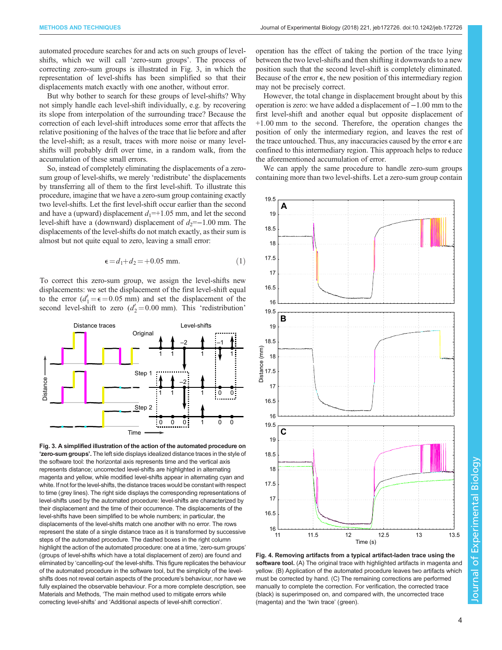<span id="page-3-0"></span>automated procedure searches for and acts on such groups of levelshifts, which we will call 'zero-sum groups'. The process of correcting zero-sum groups is illustrated in Fig. 3, in which the representation of level-shifts has been simplified so that their displacements match exactly with one another, without error.

But why bother to search for these groups of level-shifts? Why not simply handle each level-shift individually, e.g. by recovering its slope from interpolation of the surrounding trace? Because the correction of each level-shift introduces some error that affects the relative positioning of the halves of the trace that lie before and after the level-shift; as a result, traces with more noise or many levelshifts will probably drift over time, in a random walk, from the accumulation of these small errors.

So, instead of completely eliminating the displacements of a zerosum group of level-shifts, we merely 'redistribute' the displacements by transferring all of them to the first level-shift. To illustrate this procedure, imagine that we have a zero-sum group containing exactly two level-shifts. Let the first level-shift occur earlier than the second and have a (upward) displacement  $d_1=+1.05$  mm, and let the second level-shift have a (downward) displacement of  $d_2$ =−1.00 mm. The displacements of the level-shifts do not match exactly, as their sum is almost but not quite equal to zero, leaving a small error:

$$
\epsilon = d_1 + d_2 = +0.05 \text{ mm.} \tag{1}
$$

To correct this zero-sum group, we assign the level-shifts new displacements: we set the displacement of the first level-shift equal to the error  $(d_1' = \epsilon = 0.05$  mm) and set the displacement of the second level-shift to zero  $(d'_2 = 0.00 \text{ mm})$ . This 'redistribution'



Fig. 3. A simplified illustration of the action of the automated procedure on 'zero-sum groups'. The left side displays idealized distance traces in the style of the software tool: the horizontal axis represents time and the vertical axis represents distance; uncorrected level-shifts are highlighted in alternating magenta and yellow, while modified level-shifts appear in alternating cyan and white. If not for the level-shifts, the distance traces would be constant with respect to time (grey lines). The right side displays the corresponding representations of level-shifts used by the automated procedure: level-shifts are characterized by their displacement and the time of their occurrence. The displacements of the level-shifts have been simplified to be whole numbers; in particular, the displacements of the level-shifts match one another with no error. The rows represent the state of a single distance trace as it is transformed by successive steps of the automated procedure. The dashed boxes in the right column highlight the action of the automated procedure: one at a time, 'zero-sum groups' (groups of level-shifts which have a total displacement of zero) are found and eliminated by 'cancelling-out' the level-shifts. This figure replicates the behaviour of the automated procedure in the software tool, but the simplicity of the levelshifts does not reveal certain aspects of the procedure's behaviour, nor have we fully explained the observable behaviour. For a more complete description, see Materials and Methods, 'The main method used to mitigate errors while correcting level-shifts' and 'Additional aspects of level-shift correction'.

operation has the effect of taking the portion of the trace lying between the two level-shifts and then shifting it downwards to a new position such that the second level-shift is completely eliminated. Because of the error  $\epsilon$ , the new position of this intermediary region may not be precisely correct.

However, the total change in displacement brought about by this operation is zero: we have added a displacement of −1.00 mm to the first level-shift and another equal but opposite displacement of +1.00 mm to the second. Therefore, the operation changes the position of only the intermediary region, and leaves the rest of the trace untouched. Thus, any inaccuracies caused by the error  $\epsilon$  are confined to this intermediary region. This approach helps to reduce the aforementioned accumulation of error.

We can apply the same procedure to handle zero-sum groups containing more than two level-shifts. Let a zero-sum group contain



(magenta) and the 'twin trace' (green).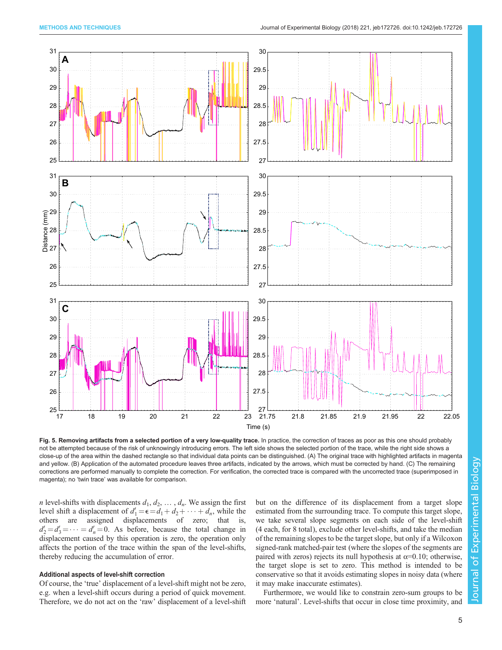<span id="page-4-0"></span>

Fig. 5. Removing artifacts from a selected portion of a very low-quality trace. In practice, the correction of traces as poor as this one should probably not be attempted because of the risk of unknowingly introducing errors. The left side shows the selected portion of the trace, while the right side shows a close-up of the area within the dashed rectangle so that individual data points can be distinguished. (A) The original trace with highlighted artifacts in magenta and yellow. (B) Application of the automated procedure leaves three artifacts, indicated by the arrows, which must be corrected by hand. (C) The remaining corrections are performed manually to complete the correction. For verification, the corrected trace is compared with the uncorrected trace (superimposed in magenta); no 'twin trace' was available for comparison.

*n* level-shifts with displacements  $d_1, d_2, \ldots, d_n$ . We assign the first level shift a displacement of  $d_1' = \epsilon = d_1 + d_2 + \cdots + d_n$ , while the others are assigned displacements of zero; that is,  $d_2' = d_3' = \cdots = d_n' = 0$ . As before, because the total change in displacement caused by this operation is zero, the operation only affects the portion of the trace within the span of the level-shifts, thereby reducing the accumulation of error.

# Additional aspects of level-shift correction

Of course, the 'true' displacement of a level-shift might not be zero, e.g. when a level-shift occurs during a period of quick movement. Therefore, we do not act on the 'raw' displacement of a level-shift but on the difference of its displacement from a target slope estimated from the surrounding trace. To compute this target slope, we take several slope segments on each side of the level-shift (4 each, for 8 total), exclude other level-shifts, and take the median of the remaining slopes to be the target slope, but only if a Wilcoxon signed-rank matched-pair test (where the slopes of the segments are paired with zeros) rejects its null hypothesis at  $\alpha$ =0.10; otherwise, the target slope is set to zero. This method is intended to be conservative so that it avoids estimating slopes in noisy data (where it may make inaccurate estimates).

Furthermore, we would like to constrain zero-sum groups to be more 'natural'. Level-shifts that occur in close time proximity, and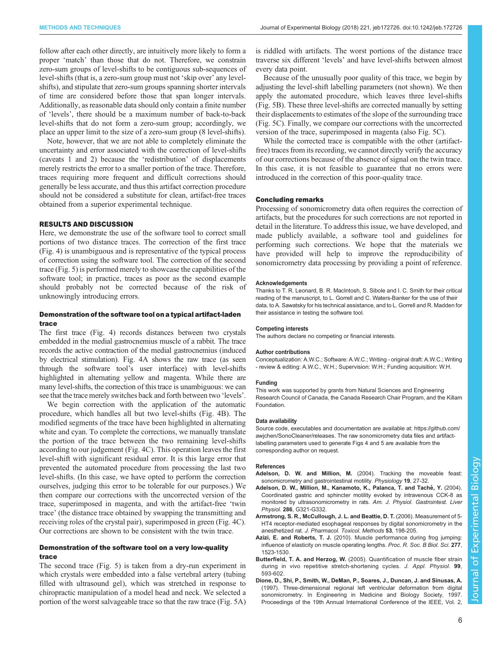<span id="page-5-0"></span>follow after each other directly, are intuitively more likely to form a proper 'match' than those that do not. Therefore, we constrain zero-sum groups of level-shifts to be contiguous sub-sequences of level-shifts (that is, a zero-sum group must not 'skip over' any levelshifts), and stipulate that zero-sum groups spanning shorter intervals of time are considered before those that span longer intervals. Additionally, as reasonable data should only contain a finite number of 'levels', there should be a maximum number of back-to-back level-shifts that do not form a zero-sum group; accordingly, we place an upper limit to the size of a zero-sum group (8 level-shifts).

Note, however, that we are not able to completely eliminate the uncertainty and error associated with the correction of level-shifts (caveats 1 and 2) because the 'redistribution' of displacements merely restricts the error to a smaller portion of the trace. Therefore, traces requiring more frequent and difficult corrections should generally be less accurate, and thus this artifact correction procedure should not be considered a substitute for clean, artifact-free traces obtained from a superior experimental technique.

# RESULTS AND DISCUSSION

Here, we demonstrate the use of the software tool to correct small portions of two distance traces. The correction of the first trace [\(Fig. 4](#page-3-0)) is unambiguous and is representative of the typical process of correction using the software tool. The correction of the second trace ([Fig. 5](#page-4-0)) is performed merely to showcase the capabilities of the software tool; in practice, traces as poor as the second example should probably not be corrected because of the risk of unknowingly introducing errors.

# Demonstration of the software tool on a typical artifact-laden trace

The first trace [\(Fig. 4\)](#page-3-0) records distances between two crystals embedded in the medial gastrocnemius muscle of a rabbit. The trace records the active contraction of the medial gastrocnemius (induced by electrical stimulation). [Fig. 4](#page-3-0)A shows the raw trace (as seen through the software tool's user interface) with level-shifts highlighted in alternating yellow and magenta. While there are many level-shifts, the correction of this trace is unambiguous: we can see that the trace merely switches back and forth between two 'levels'.

We begin correction with the application of the automatic procedure, which handles all but two level-shifts [\(Fig. 4B](#page-3-0)). The modified segments of the trace have been highlighted in alternating white and cyan. To complete the corrections, we manually translate the portion of the trace between the two remaining level-shifts according to our judgement ([Fig. 4C](#page-3-0)). This operation leaves the first level-shift with significant residual error. It is this large error that prevented the automated procedure from processing the last two level-shifts. (In this case, we have opted to perform the correction ourselves, judging this error to be tolerable for our purposes.) We then compare our corrections with the uncorrected version of the trace, superimposed in magenta, and with the artifact-free 'twin trace' (the distance trace obtained by swapping the transmitting and receiving roles of the crystal pair), superimposed in green [\(Fig. 4](#page-3-0)C). Our corrections are shown to be consistent with the twin trace.

## Demonstration of the software tool on a very low-quality trace

The second trace ([Fig. 5\)](#page-4-0) is taken from a dry-run experiment in which crystals were embedded into a false vertebral artery (tubing filled with ultrasound gel), which was stretched in response to chiropractic manipulation of a model head and neck. We selected a portion of the worst salvageable trace so that the raw trace [\(Fig. 5](#page-4-0)A) is riddled with artifacts. The worst portions of the distance trace traverse six different 'levels' and have level-shifts between almost every data point.

Because of the unusually poor quality of this trace, we begin by adjusting the level-shift labelling parameters (not shown). We then apply the automated procedure, which leaves three level-shifts [\(Fig. 5B](#page-4-0)). These three level-shifts are corrected manually by setting their displacements to estimates of the slope of the surrounding trace [\(Fig. 5C](#page-4-0)). Finally, we compare our corrections with the uncorrected version of the trace, superimposed in magenta (also [Fig. 5C](#page-4-0)).

While the corrected trace is compatible with the other (artifactfree) traces from its recording, we cannot directly verify the accuracy of our corrections because of the absence of signal on the twin trace. In this case, it is not feasible to guarantee that no errors were introduced in the correction of this poor-quality trace.

## Concluding remarks

Processing of sonomicrometry data often requires the correction of artifacts, but the procedures for such corrections are not reported in detail in the literature. To address this issue, we have developed, and made publicly available, a software tool and guidelines for performing such corrections. We hope that the materials we have provided will help to improve the reproducibility of sonomicrometry data processing by providing a point of reference.

#### Acknowledgements

Thanks to T. R. Leonard, B. R. MacIntosh, S. Sibole and I. C. Smith for their critical reading of the manuscript, to L. Gorrell and C. Waters-Banker for the use of their data, to A. Sawatsky for his technical assistance, and to L. Gorrell and R. Madden for their assistance in testing the software tool.

#### Competing interests

The authors declare no competing or financial interests.

#### Author contributions

Conceptualization: A.W.C.; Software: A.W.C.; Writing - original draft: A.W.C.; Writing - review & editing: A.W.C., W.H.; Supervision: W.H.; Funding acquisition: W.H.

#### Funding

This work was supported by grants from Natural Sciences and Engineering Research Council of Canada, the Canada Research Chair Program, and the Killam Foundation.

## Data availability

Source code, executables and documentation are available at: [https://github.com/](https://github.com/awjchen/SonoCleaner/releases) [awjchen/SonoCleaner/releases.](https://github.com/awjchen/SonoCleaner/releases) The raw sonomicrometry data files and artifactlabelling parameters used to generate [Figs 4](#page-1-0) and [5](#page-4-0) are available from the corresponding author on request.

#### References

- Adelson, D. W. and Million, M. [\(2004\). Tracking the moveable feast:](http://dx.doi.org/10.1152/nips.01439.2003) [sonomicrometry and gastrointestinal motility.](http://dx.doi.org/10.1152/nips.01439.2003) Physiology 19, 27-32.
- Adelson, D. W., Million, M., Kanamoto, K., Palanca, T. and Taché, Y. (2004). [Coordinated gastric and sphincter motility evoked by intravenous CCK-8 as](http://dx.doi.org/10.1152/ajpgi.00057.2003) [monitored by ultrasonomicrometry in rats.](http://dx.doi.org/10.1152/ajpgi.00057.2003) Am. J. Physiol. Gastrointest. Liver Physiol. 286[, G321-G332.](http://dx.doi.org/10.1152/ajpgi.00057.2003)
- [Armstrong, S. R., McCullough, J. L. and Beattie, D. T.](http://dx.doi.org/10.1016/j.vascn.2005.08.004) (2006). Measurement of 5- [HT4 receptor-mediated esophageal responses by digital sonomicrometry in the](http://dx.doi.org/10.1016/j.vascn.2005.08.004) anesthetized rat. [J. Pharmacol. Toxicol. Methods](http://dx.doi.org/10.1016/j.vascn.2005.08.004) 53, 198-205.
- Azizi, E. and Roberts, T. J. [\(2010\). Muscle performance during frog jumping:](http://dx.doi.org/10.1098/rspb.2009.2051) [influence of elasticity on muscle operating lengths.](http://dx.doi.org/10.1098/rspb.2009.2051) Proc. R. Soc. B Biol. Sci. 277, [1523-1530.](http://dx.doi.org/10.1098/rspb.2009.2051)
- Butterfield, T. A. and Herzog, W. [\(2005\). Quantification of muscle fiber strain](http://dx.doi.org/10.1152/japplphysiol.01128.2004) [during in vivo repetitive stretch-shortening cycles.](http://dx.doi.org/10.1152/japplphysiol.01128.2004) J. Appl. Physiol. 99, [593-602.](http://dx.doi.org/10.1152/japplphysiol.01128.2004)
- Dione, D., Shi, P., Smith, W., DeMan, P., Soares, J., Duncan, J. and Sinusas, A. (1997). Three-dimensional regional left ventricular deformation from digital sonomicrometry. In Engineering in Medicine and Biology Society, 1997. Proceedings of the 19th Annual International Conference of the IEEE, Vol. 2,